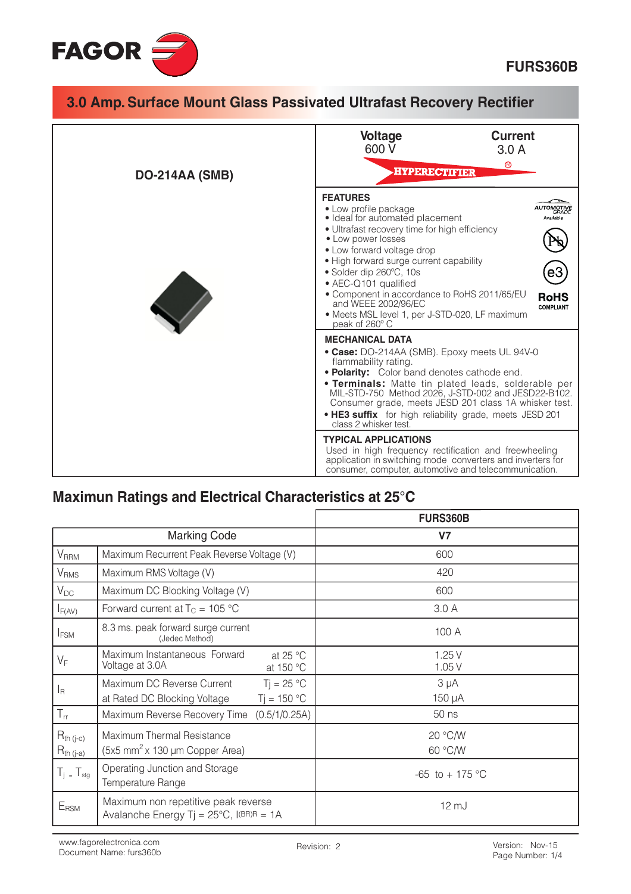

| 3.0 Amp. Surface Mount Glass Passivated Ultrafast Recovery Rectifier |                                                                                                                                                                                                                                                                                                                                                                                                                                                                                                                                                                                                                                |  |
|----------------------------------------------------------------------|--------------------------------------------------------------------------------------------------------------------------------------------------------------------------------------------------------------------------------------------------------------------------------------------------------------------------------------------------------------------------------------------------------------------------------------------------------------------------------------------------------------------------------------------------------------------------------------------------------------------------------|--|
|                                                                      | <b>Current</b><br><b>Voltage</b><br>600 V<br>3.0A<br>$^{\circledR}$<br><b>-HYPERECTIFIER</b>                                                                                                                                                                                                                                                                                                                                                                                                                                                                                                                                   |  |
| <b>DO-214AA (SMB)</b>                                                | <b>FEATURES</b><br>• Low profile package<br>JTOMOTIVE<br>• Ideal for automated placement<br>Available<br>• Ultrafast recovery time for high efficiency<br>• Low power losses<br>• Low forward voltage drop<br>• High forward surge current capability<br>e3<br>• Solder dip 260°C, 10s<br>• AEC-Q101 qualified<br>• Component in accordance to RoHS 2011/65/EU<br><b>RoHS</b><br>and WEEE 2002/96/EC<br><b>COMPLIANT</b><br>• Meets MSL level 1, per J-STD-020, LF maximum<br>peak of 260° C                                                                                                                                   |  |
|                                                                      | <b>MECHANICAL DATA</b><br>• Case: DO-214AA (SMB). Epoxy meets UL 94V-0<br>flammability rating.<br>• Polarity: Color band denotes cathode end.<br><b>• Terminals:</b> Matte tin plated leads, solderable per<br>MIL-STD-750 Method 2026, J-STD-002 and JESD22-B102.<br>Consumer grade, meets JESD 201 class 1A whisker test.<br>. HE3 suffix for high reliability grade, meets JESD 201<br>class 2 whisker test.<br><b>TYPICAL APPLICATIONS</b><br>Used in high frequency rectification and freewheeling<br>application in switching mode converters and inverters for<br>consumer, computer, automotive and telecommunication. |  |

# Maximun Ratings and Electrical Characteristics at 25°C

|                                  |                                                                                            | <b>FURS360B</b>     |
|----------------------------------|--------------------------------------------------------------------------------------------|---------------------|
| <b>Marking Code</b>              |                                                                                            | <b>V7</b>           |
| <b>V<sub>RRM</sub></b>           | Maximum Recurrent Peak Reverse Voltage (V)                                                 | 600                 |
| <b>V</b> <sub>RMS</sub>          | Maximum RMS Voltage (V)                                                                    | 420                 |
| $V_{DC}$                         | Maximum DC Blocking Voltage (V)                                                            | 600                 |
| $I_{F(AV)}$                      | Forward current at $T_C = 105$ °C                                                          | 3.0A                |
| <b>IFSM</b>                      | 8.3 ms. peak forward surge current<br>(Jedec Method)                                       | 100 A               |
| $V_F$                            | Maximum Instantaneous Forward<br>at 25 $\degree$ C<br>Voltage at 3.0A<br>at 150 °C         | 1.25V<br>1.05V      |
| l <sub>R</sub>                   | Maximum DC Reverse Current<br>$Ti = 25 °C$<br>$T = 150 °C$<br>at Rated DC Blocking Voltage | $3 \mu A$<br>150 µA |
| $T_{rr}$                         | Maximum Reverse Recovery Time<br>(0.5/1/0.25A)                                             | 50 ns               |
| $R_{th (j-c)}$<br>$R_{th (j-a)}$ | Maximum Thermal Resistance<br>$(5x5$ mm <sup>2</sup> x 130 µm Copper Area)                 | 20 °C/W<br>60 °C/W  |
| $T_i$ – $T_{\text{stg}}$         | Operating Junction and Storage<br>Temperature Range                                        | $-65$ to $+175$ °C  |
| $E_{\rm RSM}$                    | Maximum non repetitive peak reverse<br>Avalanche Energy Tj = $25^{\circ}$ C, I(BR)R = 1A   | $12 \, \text{mJ}$   |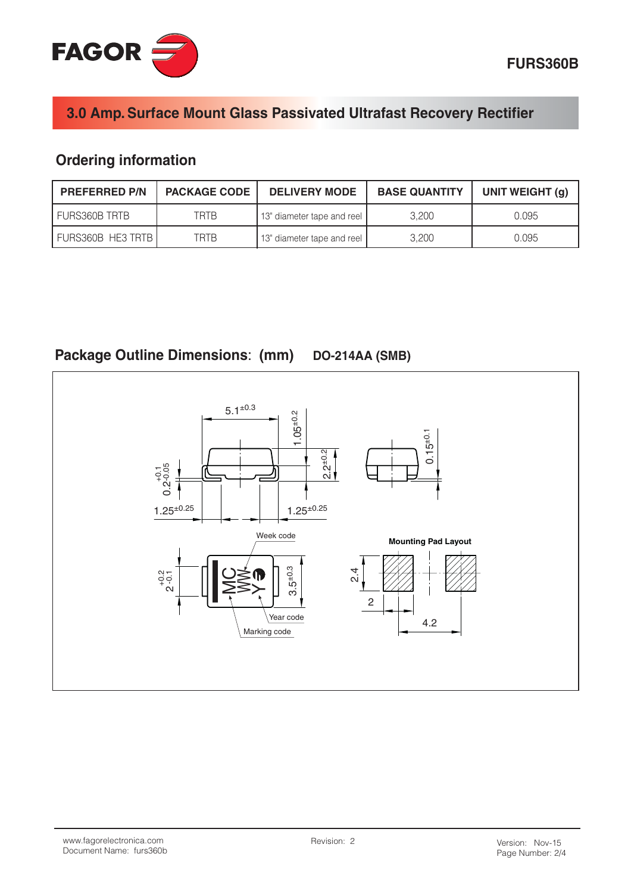

## 3.0 Amp. Surface Mount Glass Passivated Ultrafast Recovery Rectifier

## **Ordering information**

| <b>PREFERRED P/N</b> | <b>PACKAGE CODE</b> | <b>DELIVERY MODE</b>         | <b>BASE QUANTITY</b> | UNIT WEIGHT (g) |
|----------------------|---------------------|------------------------------|----------------------|-----------------|
| I FURS360B TRTB      | TRTR                | 13" diameter tape and reel   | 3.200                | 0.095           |
| FURS360B HE3 TRTB    | TRTB                | l 13" diameter tape and reel | 3.200                | 0.095           |



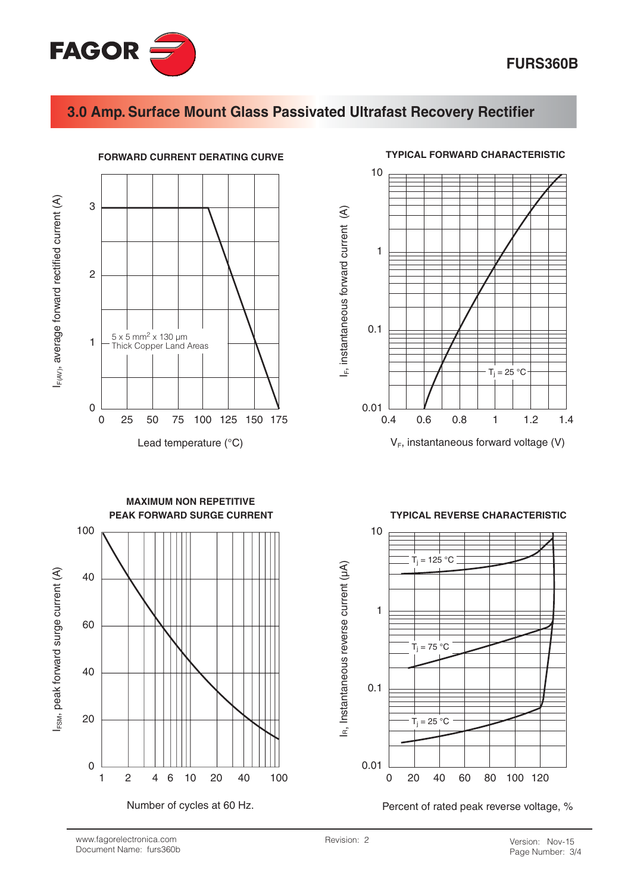

### **FURS360B**

### 3.0 Amp. Surface Mount Glass Passivated Ultrafast Recovery Rectifier



#### **TYPICAL FORWARD CHARACTERISTIC**



 $V_F$ , instantaneous forward voltage (V)





#### **TYPICAL REVERSE CHARACTERISTIC**



Percent of rated peak reverse voltage, %

www.fagorelectronica.com Document Name: furs360b